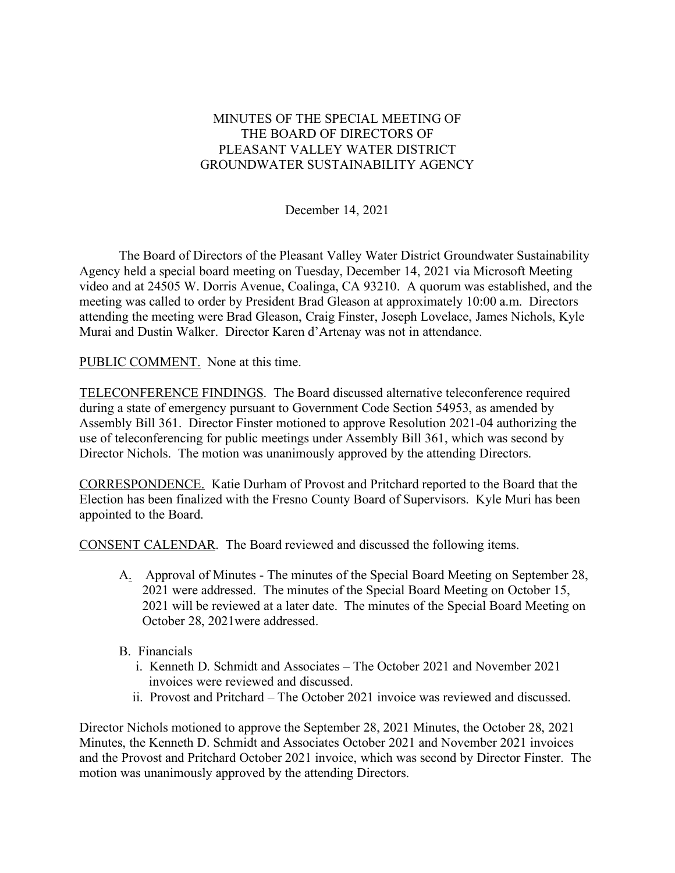## MINUTES OF THE SPECIAL MEETING OF THE BOARD OF DIRECTORS OF PLEASANT VALLEY WATER DISTRICT GROUNDWATER SUSTAINABILITY AGENCY

December 14, 2021

The Board of Directors of the Pleasant Valley Water District Groundwater Sustainability Agency held a special board meeting on Tuesday, December 14, 2021 via Microsoft Meeting video and at 24505 W. Dorris Avenue, Coalinga, CA 93210. A quorum was established, and the meeting was called to order by President Brad Gleason at approximately 10:00 a.m. Directors attending the meeting were Brad Gleason, Craig Finster, Joseph Lovelace, James Nichols, Kyle Murai and Dustin Walker. Director Karen d'Artenay was not in attendance.

PUBLIC COMMENT. None at this time.

TELECONFERENCE FINDINGS. The Board discussed alternative teleconference required during a state of emergency pursuant to Government Code Section 54953, as amended by Assembly Bill 361. Director Finster motioned to approve Resolution 2021-04 authorizing the use of teleconferencing for public meetings under Assembly Bill 361, which was second by Director Nichols. The motion was unanimously approved by the attending Directors.

CORRESPONDENCE. Katie Durham of Provost and Pritchard reported to the Board that the Election has been finalized with the Fresno County Board of Supervisors. Kyle Muri has been appointed to the Board.

CONSENT CALENDAR. The Board reviewed and discussed the following items.

- A. Approval of Minutes The minutes of the Special Board Meeting on September 28, 2021 were addressed. The minutes of the Special Board Meeting on October 15, 2021 will be reviewed at a later date. The minutes of the Special Board Meeting on October 28, 2021were addressed.
- B. Financials
	- i. Kenneth D. Schmidt and Associates The October 2021 and November 2021 invoices were reviewed and discussed.
	- ii. Provost and Pritchard The October 2021 invoice was reviewed and discussed.

Director Nichols motioned to approve the September 28, 2021 Minutes, the October 28, 2021 Minutes, the Kenneth D. Schmidt and Associates October 2021 and November 2021 invoices and the Provost and Pritchard October 2021 invoice, which was second by Director Finster. The motion was unanimously approved by the attending Directors.